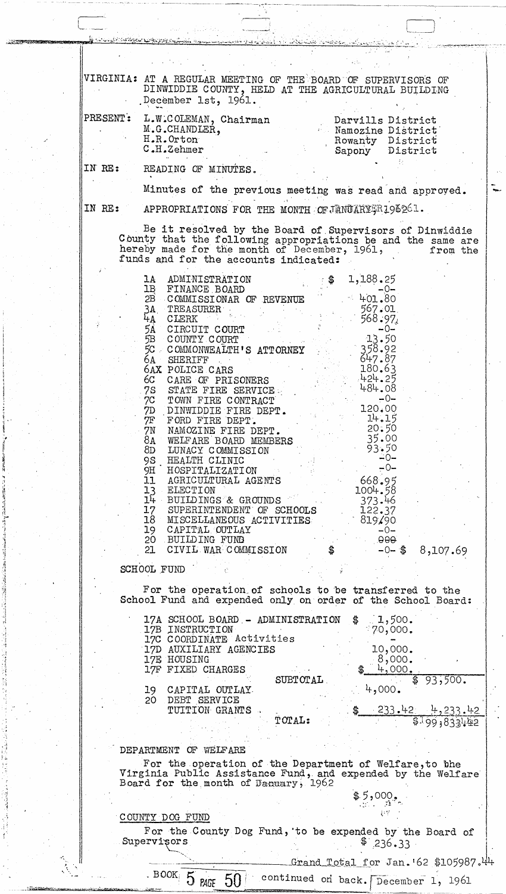| <u>Envelophende de de participation international de la grande de la provincia de la provincia de la grande de la </u>                                                                                                                            |
|---------------------------------------------------------------------------------------------------------------------------------------------------------------------------------------------------------------------------------------------------|
|                                                                                                                                                                                                                                                   |
| VIRGINIA: AT A REGULAR MEETING OF THE BOARD OF SUPERVISORS OF<br>DINWIDDIE COUNTY, HELD AT THE AGRICULTURAL BUILDING<br>December 1st, 1961.                                                                                                       |
| PRESENT:<br>L.W.COLEMAN, Chairman<br>Darvills District<br>M.G.CHANDLER,<br>Namozine District<br>H.R.Orton<br>Rowanty District<br>C.H.Zehmer<br>Sapony District                                                                                    |
| IN RE:<br>READING OF MINUTES.                                                                                                                                                                                                                     |
| Minutes of the previous meeting was read and approved.                                                                                                                                                                                            |
| IN RE:<br>APPROPRIATIONS FOR THE MONTH OF JANUARY FR196261.                                                                                                                                                                                       |
| Be it resolved by the Board of Supervisors of Dinwiddie<br>County that the following appropriations be and the same are<br>hereby made for the month of December, 1961,<br>from the<br>funds and for the accounts indicated:                      |
| LIGN AND MINISTRATION 15 AND MINISTRATION 15 AND 180 MANUS AND 25 COMMUSSIONAR OF REVENUE 405.97<br>34. TREASURE 160 MB<br>34. CLERK<br>34. CLERK<br>54. CLERK<br>54. CLERK<br>54. CLERK<br>54. CLERK<br>54. CLERK<br>54. CLERK<br>54. COMMUNICAL |
|                                                                                                                                                                                                                                                   |
|                                                                                                                                                                                                                                                   |
|                                                                                                                                                                                                                                                   |
|                                                                                                                                                                                                                                                   |
|                                                                                                                                                                                                                                                   |
|                                                                                                                                                                                                                                                   |
|                                                                                                                                                                                                                                                   |
|                                                                                                                                                                                                                                                   |
|                                                                                                                                                                                                                                                   |
|                                                                                                                                                                                                                                                   |
|                                                                                                                                                                                                                                                   |
|                                                                                                                                                                                                                                                   |
| SCHOOL FUND                                                                                                                                                                                                                                       |
| For the operation of schools to be transferred to the<br>School Fund and expended only on order of the School Board:                                                                                                                              |
| 17A SCHOOL BOARD - ADMINISTRATION \$ 1,500.<br>17B INSTRUCTION<br>270,000.<br>17C COORDINATE Activities                                                                                                                                           |
| 17D AUXILIARY AGENCIES<br>10,000.<br>8,000.<br>17E HOUSING                                                                                                                                                                                        |
| 4,000.<br>17F FIXED CHARGES<br>93,500.<br><b>SUBTOTAL</b>                                                                                                                                                                                         |
| 4,000.<br>CAPITAL OUTLAY<br>19.<br>DEBT SERVICE<br>20                                                                                                                                                                                             |
| $-233.42$ 4,233.42<br>TUITION GRANTS<br>TOTAL:<br>5199,833442                                                                                                                                                                                     |
| DEPARTMENT OF WELFARE                                                                                                                                                                                                                             |
| For the operation of the Department of Welfare, to the<br>Virginia Public Assistance Fund, and expended by the Welfare<br>Board for the month of Danuary, 1962                                                                                    |
| \$5,000.                                                                                                                                                                                                                                          |
| COUNTY DOG FUND<br>For the County Dog Fund, to be expended by the Board of                                                                                                                                                                        |
| Supervisors<br>236.33<br>Grand Total for Jan. $62$ \$105987. $44$                                                                                                                                                                                 |
| BOOK 5<br>continued on back. December 1, 1961<br>50<br><b>PAGE</b>                                                                                                                                                                                |
|                                                                                                                                                                                                                                                   |

1999 - Party of the Company of the Contract of the Contract of the Company of the Contract of the Contract of the Contract of the Contract of the Contract of the Contract of the Contract of the Contract of the Contract of

1 'i "  $\mathbf{1}$ 

"~A "  $\cdot$  .

 $\mathbf{a}$  .  $\frac{1}{2}$  ,  $\cdot$  .  $\mathcal{F}_\mathrm{r}$ 

' ..

,<br>.<br>.

J.  $\frac{1}{2}$   $\pmb{\cdot}$ 

فتغفق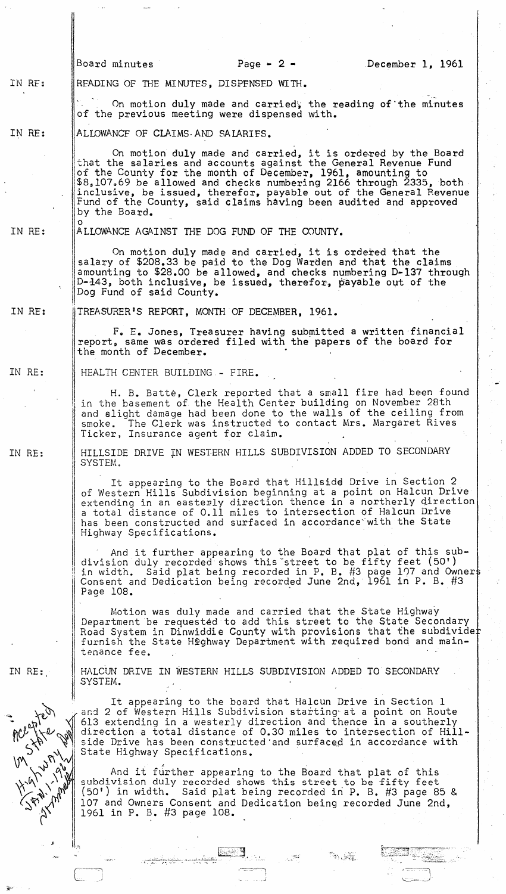Board minutes  $Page - 2 -$  December 1, 1961 IN RF: RFADING OF THE MINUTES, DISPENSED WITH. On motion duly made and carried, the reading of the minutes of the previous meeting were dispensed with. IN RE: ALLOWANCF OF CLAIMS·AND SAIARIES.  $\begin{bmatrix} 0 & 0 & 0 \\ 0 & 0 & 0 \end{bmatrix}$  on motion duly made and carried, it is ordered by the Board that the salaries and accounts against the General Revenue Fund of the County for the month of December, 1961, amounting to \$8,107.69 be allowed and checks numbering 2166 through 2335, both inclusive, be issued, therefor, payable out of the General Revenue Fund of the County, said claims having been audited and approved<br>by the Board. o IN RE: ALLOWANCE AGAINST THE DOG FUND OF THE COUNTY. On motion duly made and carried, it is ordered that the salary of \$208.33 be paid to the Dog Warden and that the claims amounting to \$2S.00 be allowed, and checks numbering D-137 through D-143, both inclusive, be issued, therefor, payable out of the  $\overline{\mathsf{D}}$ Dog Fund of said County. IN HE: TREASURER'S REPORT, MONTH OF DECEMBER, 1961. F. E. Jones, Treasurer having submitted a written financial report, same was ordered filed with the papers of the board for the month of December. IN RE: HEALTH CENTER BUILDING - FIRE. H. B. Batte, Clerk reported that a small fire had been found in the basement of the Health Center building on November 2Sth and slight damage had been done to the walls of the ceiling from smoke. The Clerk was instructed to contact Mrs. Margaret Rives Ticker, Insurance agent for claim. HILLSIDE DRIVE IN WESTERN HILLS SUBDIVISION ADDED TO SECONDARY IN RE: SYSTEM. It appearing to the Board that Hillside Drive in Section 2 of Western Hills Subdivision beginning at a point on Halcun Drive extending in an easterly direction thence in a northerly direction a total distance of 0.11 miles to intersection of Halcun Drive has been constructed and surfaced in accordance with the State Highway Specifications. And it further appearing to the Board that plat of this subdivision duly recorded shows this street to be fifty feet (50') in width. Said plat being recorded in P. B. #3 page 107 and Owner Consent and Dedication being recorded June 2nd, 1961 in P. B. #3 Page lOS. . Motion was duly made and carried that the State Highway Department be requested to add this street to the State Secondary <sup>I</sup>Road System in Dinwiddie County with provisions that the subdivide furnish the State Highway Department with required bond and maintenance fee. HALCUN DRIVE IN WESTERN HILLS SUBDIVISION ADDED TO SECONDARY SYSTEM. IN RE: It appearing to the board that Halcun Drive in Section 1<br>and 2 of Western Hills Subdivision starting at a point on Route<br>- 613 extending in a westerly direction and thence in a southerly direction a total distance of 0.30 miles to intersection of Hill- $\mathbb{V}$  side Drive has been constructed and surfaced in accordance with State Highway Specifications.  $\frac{\sqrt{2}}{\sqrt{2}}\int\limits_{-\sqrt{2}}^{\sqrt{2}}\int\limits_{-\sqrt{2}}^{\sqrt{2}}\int\limits_{-\sqrt{2}}^{\sqrt{2}}\int\limits_{-\sqrt{2}}^{\sqrt{2}}\int\limits_{-\sqrt{2}}^{\sqrt{2}}\int\limits_{-\sqrt{2}}^{\sqrt{2}}\int\limits_{-\sqrt{2}}^{\sqrt{2}}\int\limits_{-\sqrt{2}}^{\sqrt{2}}\int\limits_{-\sqrt{2}}^{\sqrt{2}}\int\limits_{-\sqrt{2}}^{\sqrt{2}}\int\limits_{-\sqrt{2}}^{\sqrt{2}}\int\limits_{-\sqrt{2}}^{\sqrt{2}}\int\limits_{-\sqrt{2}}^{\sqrt{2}}$ And it further appearing to the Board that plat of this subdivision duly recorded shows this street to be fifty feet (50') in width. Said plat being recorded in P. B. #3 page 85 & 107 and Owners Consent and Dedication being recorded June 2nd, 1961 in P. B. #3 page lOS.  $\mathbf{r}$ E3 .......:..:.....:...:.:......;:.::~.:....\_-~ \_\_ -'\_ ~~~ .. J.,L:; .. :';,.:.;s.~ -. ~ '. ..... .. •. \_.' <sup>~</sup> <u>ેલ કર્યું છે.</u><br>જોવાડી

> $\sim$   $\sim$ I *- \_.j*

 $\sqrt{1-\frac{1}{2}+\cdots+\frac{1}{2}}$ ~c=, \_\_\_ )

-'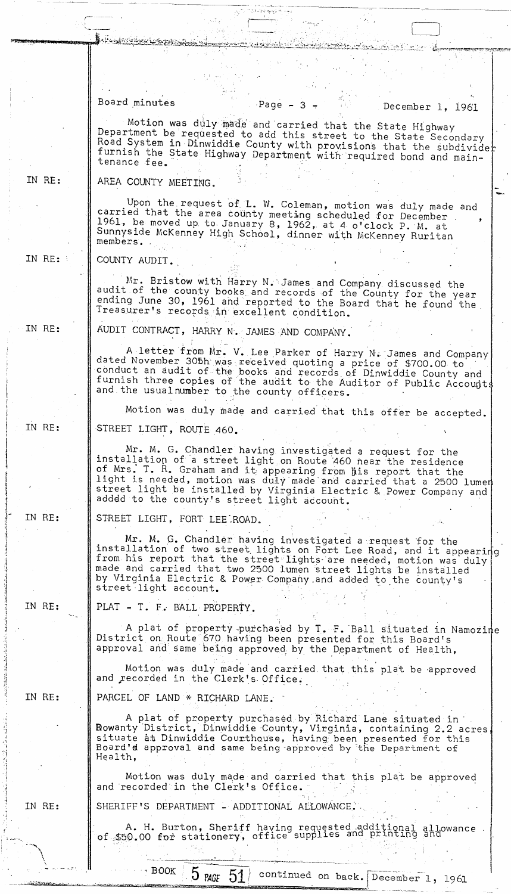|        | Board minutes<br>Page $-3$ $-$<br>December 1, 1961                                                                                                                                                                                                                                                                                                                                       |  |
|--------|------------------------------------------------------------------------------------------------------------------------------------------------------------------------------------------------------------------------------------------------------------------------------------------------------------------------------------------------------------------------------------------|--|
|        | Motion was duly made and carried that the State Highway<br>Department be requested to add this street to the State Secondary<br>Road System in Dinwiddie County with provisions that the subdivider<br>furnish the State Highway Department with required bond and main-<br>tenance fee.                                                                                                 |  |
| IN RE: | AREA COUNTY MEETING.                                                                                                                                                                                                                                                                                                                                                                     |  |
|        | Upon the request of L. W. Coleman, motion was duly made and<br>carried that the area county meeting scheduled for December<br>1961, be moved up to January 8, 1962, at 4 o'clock P. M. at<br>Sunnyside McKenney High School, dinner with McKenney Ruritan<br>members.                                                                                                                    |  |
| IN RE: | COUNTY AUDIT.                                                                                                                                                                                                                                                                                                                                                                            |  |
|        | Mr. Bristow with Harry N. James and Company discussed the<br>audit of the county books and records of the County for the year<br>ending June 30, 1961 and reported to the Board that he found the<br>Treasurer's records in excellent condition.                                                                                                                                         |  |
| IN RE: | AUDIT CONTRACT, HARRY N. JAMES AND COMPANY.                                                                                                                                                                                                                                                                                                                                              |  |
|        | A letter from Mr. V. Lee Parker of Harry N. James and Company<br>dated November 305h was received quoting a price of \$700.00 to<br>conduct an audit of the books and records of Dinwiddie County and<br>furnish three copies of the audit to the Auditor of Public Accounts<br>and the usual number to the county officers.                                                             |  |
|        | Motion was duly made and carried that this offer be accepted.                                                                                                                                                                                                                                                                                                                            |  |
| IN RE: | STREET LIGHT, ROUTE 460.                                                                                                                                                                                                                                                                                                                                                                 |  |
|        | Mr. M. G. Chandler having investigated a request for the<br>installation of a street light on Route 460 near the residence<br>of Mrs. T. R. Graham and it appearing from his report that the<br>light is needed, motion was duly made and carried that a 2500 lumen<br>street light be installed by Virginia Electric & Power Company and<br>adddd to the county's street light account. |  |
| IN RE: | STREET LIGHT, FORT LEE ROAD.                                                                                                                                                                                                                                                                                                                                                             |  |
|        | Mr. M. G. Chandler having investigated a request for the<br>installation of two street lights on Fort Lee Road, and it appearing<br>from his report that the street lights are needed, motion was duly<br>made and carried that two 2500 lumen street lights be installed<br>by Virginia Electric & Power Company and added to the county's<br>street light account.                     |  |
| IN RE: | PLAT - T. F. BALL PROPERTY.                                                                                                                                                                                                                                                                                                                                                              |  |
|        | A plat of property purchased by T. F. Ball situated in Namozine<br>District on Route 670 having been presented for this Board's<br>approval and same being approved by the Department of Health,                                                                                                                                                                                         |  |
|        | Motion was duly made and carried that this plat be approved<br>and recorded in the Clerk's Office.                                                                                                                                                                                                                                                                                       |  |
| IN RE: | PARCEL OF LAND * RICHARD LANE.                                                                                                                                                                                                                                                                                                                                                           |  |
|        | A plat of property purchased by Richard Lane situated in<br>Rowanty District, Dinwiddie County, Virginia, containing 2.2 acres,<br>situate at Dinwiddie Courthouse, having been presented for this<br>Board'd approval and same being approved by the Department of<br>Health,                                                                                                           |  |
|        | Motion was duly made and carried that this plat be approved<br>and recorded in the Clerk's Office.                                                                                                                                                                                                                                                                                       |  |
| IN RE: | SHERIFF'S DEPARTMENT - ADDITIONAL ALLOWANCE.                                                                                                                                                                                                                                                                                                                                             |  |
|        | A. H. Burton, Sheriff having requested additional allowance<br>of \$50.00 for stationery, office supplies and printing and                                                                                                                                                                                                                                                               |  |
|        | $\cdot$ BOOK $\sim$ 5.<br>$Z^*$                                                                                                                                                                                                                                                                                                                                                          |  |

المجاج تهجهج وتدافقه

 $\tau^{\rm S2}_\text{eff}$ 

BOOK 5 PAGE 51 continued on back. December 1, 1961